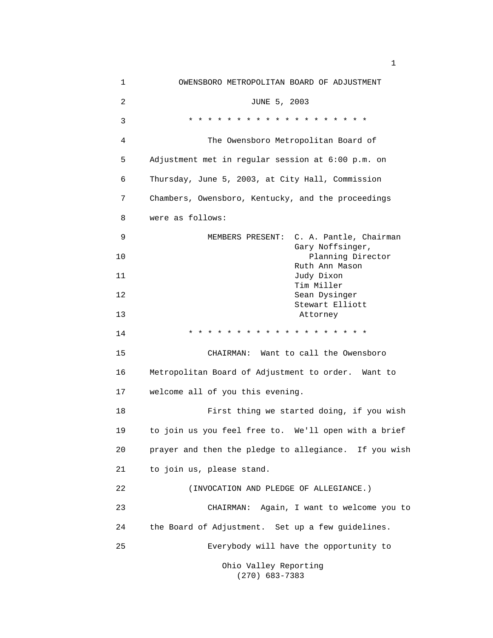| 1  | OWENSBORO METROPOLITAN BOARD OF ADJUSTMENT            |
|----|-------------------------------------------------------|
| 2  | JUNE 5, 2003                                          |
| 3  | $* * * * *$<br>$\star$<br>$\star$<br>* * * * * *      |
| 4  | The Owensboro Metropolitan Board of                   |
| 5  | Adjustment met in regular session at 6:00 p.m. on     |
| 6  | Thursday, June 5, 2003, at City Hall, Commission      |
| 7  | Chambers, Owensboro, Kentucky, and the proceedings    |
| 8  | were as follows:                                      |
| 9  | C. A. Pantle, Chairman<br>MEMBERS PRESENT:            |
| 10 | Gary Noffsinger,<br>Planning Director                 |
| 11 | Ruth Ann Mason<br>Judy Dixon<br>Tim Miller            |
| 12 | Sean Dysinger<br>Stewart Elliott                      |
| 13 | Attorney                                              |
| 14 | * * * * * * * * * * *                                 |
| 15 | Want to call the Owensboro<br>CHAIRMAN:               |
| 16 | Metropolitan Board of Adjustment to order. Want to    |
| 17 | welcome all of you this evening.                      |
| 18 | First thing we started doing, if you wish             |
| 19 | to join us you feel free to. We'll open with a brief  |
| 20 | prayer and then the pledge to allegiance. If you wish |
| 21 | to join us, please stand.                             |
| 22 | (INVOCATION AND PLEDGE OF ALLEGIANCE.)                |
| 23 | Again, I want to welcome you to<br>CHAIRMAN:          |
| 24 | the Board of Adjustment. Set up a few guidelines.     |
| 25 | Everybody will have the opportunity to                |
|    | Ohio Valley Reporting<br>$(270)$ 683-7383             |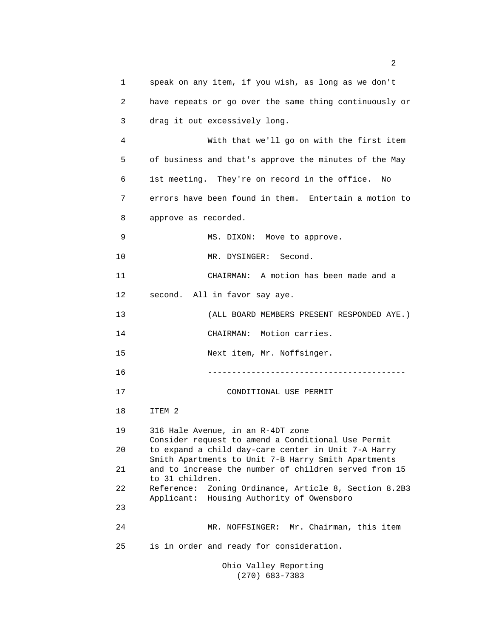| 1  | speak on any item, if you wish, as long as we don't                                                                                                                                                                       |  |  |
|----|---------------------------------------------------------------------------------------------------------------------------------------------------------------------------------------------------------------------------|--|--|
| 2  | have repeats or go over the same thing continuously or                                                                                                                                                                    |  |  |
| 3  | drag it out excessively long.                                                                                                                                                                                             |  |  |
| 4  | With that we'll go on with the first item                                                                                                                                                                                 |  |  |
| 5  | of business and that's approve the minutes of the May                                                                                                                                                                     |  |  |
| 6  | 1st meeting. They're on record in the office.<br>No                                                                                                                                                                       |  |  |
| 7  | errors have been found in them. Entertain a motion to                                                                                                                                                                     |  |  |
| 8  | approve as recorded.                                                                                                                                                                                                      |  |  |
| 9  | MS. DIXON: Move to approve.                                                                                                                                                                                               |  |  |
| 10 | MR. DYSINGER:<br>Second.                                                                                                                                                                                                  |  |  |
| 11 | A motion has been made and a<br>CHAIRMAN:                                                                                                                                                                                 |  |  |
| 12 | second. All in favor say aye.                                                                                                                                                                                             |  |  |
| 13 | (ALL BOARD MEMBERS PRESENT RESPONDED AYE.)                                                                                                                                                                                |  |  |
| 14 | CHAIRMAN: Motion carries.                                                                                                                                                                                                 |  |  |
| 15 | Next item, Mr. Noffsinger.                                                                                                                                                                                                |  |  |
| 16 |                                                                                                                                                                                                                           |  |  |
| 17 | CONDITIONAL USE PERMIT                                                                                                                                                                                                    |  |  |
| 18 | ITEM 2                                                                                                                                                                                                                    |  |  |
| 19 | 316 Hale Avenue, in an R-4DT zone                                                                                                                                                                                         |  |  |
| 20 | Consider request to amend a Conditional Use Permit<br>to expand a child day-care center in Unit 7-A Harry<br>Smith Apartments to Unit 7-B Harry Smith Apartments<br>and to increase the number of children served from 15 |  |  |
| 21 |                                                                                                                                                                                                                           |  |  |
| 22 | to 31 children.<br>Reference:<br>Zoning Ordinance, Article 8, Section 8.2B3                                                                                                                                               |  |  |
| 23 | Housing Authority of Owensboro<br>Applicant:                                                                                                                                                                              |  |  |
| 24 | MR. NOFFSINGER: Mr. Chairman, this item                                                                                                                                                                                   |  |  |
| 25 | is in order and ready for consideration.                                                                                                                                                                                  |  |  |
|    | Ohio Valley Reporting                                                                                                                                                                                                     |  |  |

(270) 683-7383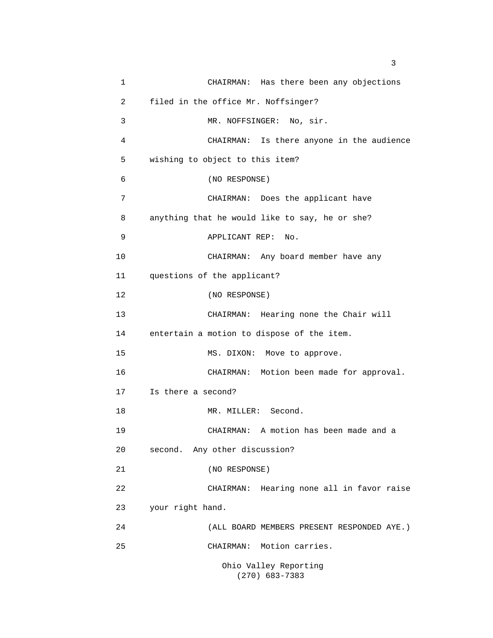1 CHAIRMAN: Has there been any objections 2 filed in the office Mr. Noffsinger? 3 MR. NOFFSINGER: No, sir. 4 CHAIRMAN: Is there anyone in the audience 5 wishing to object to this item? 6 (NO RESPONSE) 7 CHAIRMAN: Does the applicant have 8 anything that he would like to say, he or she? 9 APPLICANT REP: No. 10 CHAIRMAN: Any board member have any 11 questions of the applicant? 12 (NO RESPONSE) 13 CHAIRMAN: Hearing none the Chair will 14 entertain a motion to dispose of the item. 15 MS. DIXON: Move to approve. 16 CHAIRMAN: Motion been made for approval. 17 Is there a second? 18 MR. MILLER: Second. 19 CHAIRMAN: A motion has been made and a 20 second. Any other discussion? 21 (NO RESPONSE) 22 CHAIRMAN: Hearing none all in favor raise 23 your right hand. 24 (ALL BOARD MEMBERS PRESENT RESPONDED AYE.) 25 CHAIRMAN: Motion carries. Ohio Valley Reporting (270) 683-7383

 $\sim$  3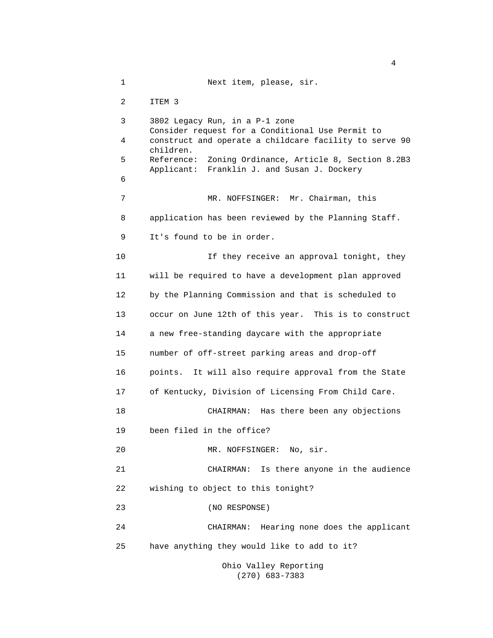1 Next item, please, sir. 2 ITEM 3 3 3802 Legacy Run, in a P-1 zone Consider request for a Conditional Use Permit to 4 construct and operate a childcare facility to serve 90 children. 5 Reference: Zoning Ordinance, Article 8, Section 8.2B3 Applicant: Franklin J. and Susan J. Dockery 6 7 MR. NOFFSINGER: Mr. Chairman, this 8 application has been reviewed by the Planning Staff. 9 It's found to be in order. 10 10 If they receive an approval tonight, they 11 will be required to have a development plan approved 12 by the Planning Commission and that is scheduled to 13 occur on June 12th of this year. This is to construct 14 a new free-standing daycare with the appropriate 15 number of off-street parking areas and drop-off 16 points. It will also require approval from the State 17 of Kentucky, Division of Licensing From Child Care. 18 CHAIRMAN: Has there been any objections 19 been filed in the office? 20 MR. NOFFSINGER: No, sir. 21 CHAIRMAN: Is there anyone in the audience 22 wishing to object to this tonight? 23 (NO RESPONSE) 24 CHAIRMAN: Hearing none does the applicant 25 have anything they would like to add to it? Ohio Valley Reporting

(270) 683-7383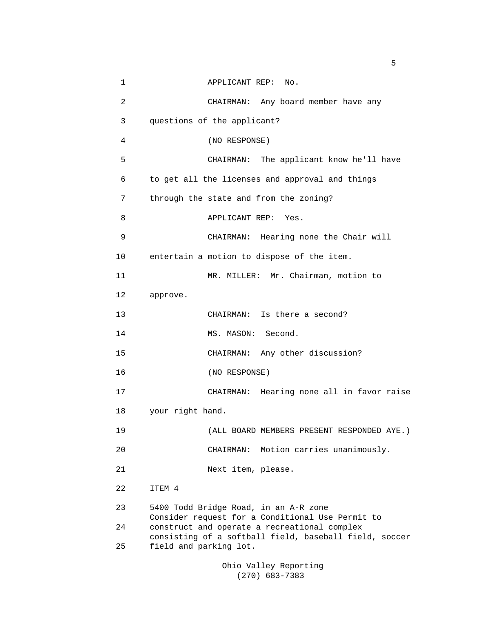| 1              | APPLICANT REP:<br>No.                                                                                  |
|----------------|--------------------------------------------------------------------------------------------------------|
| $\overline{c}$ | CHAIRMAN: Any board member have any                                                                    |
| 3              | questions of the applicant?                                                                            |
| 4              | (NO RESPONSE)                                                                                          |
| 5              | CHAIRMAN: The applicant know he'll have                                                                |
| 6              | to get all the licenses and approval and things                                                        |
| 7              | through the state and from the zoning?                                                                 |
| 8              | APPLICANT REP:<br>Yes.                                                                                 |
| 9              | CHAIRMAN: Hearing none the Chair will                                                                  |
| 10             | entertain a motion to dispose of the item.                                                             |
| 11             | MR. MILLER: Mr. Chairman, motion to                                                                    |
| 12             | approve.                                                                                               |
| 13             | CHAIRMAN: Is there a second?                                                                           |
| 14             | MS. MASON: Second.                                                                                     |
| 15             | CHAIRMAN: Any other discussion?                                                                        |
| 16             | (NO RESPONSE)                                                                                          |
| 17             | CHAIRMAN: Hearing none all in favor raise                                                              |
| 18             | your right hand.                                                                                       |
| 19             | (ALL BOARD MEMBERS PRESENT RESPONDED AYE.)                                                             |
| 20             | CHAIRMAN: Motion carries unanimously.                                                                  |
| 21             | Next item, please.                                                                                     |
| 22             | ITEM 4                                                                                                 |
| 23             | 5400 Todd Bridge Road, in an A-R zone<br>Consider request for a Conditional Use Permit to              |
| 24             | construct and operate a recreational complex<br>consisting of a softball field, baseball field, soccer |
| 25             | field and parking lot.                                                                                 |
|                |                                                                                                        |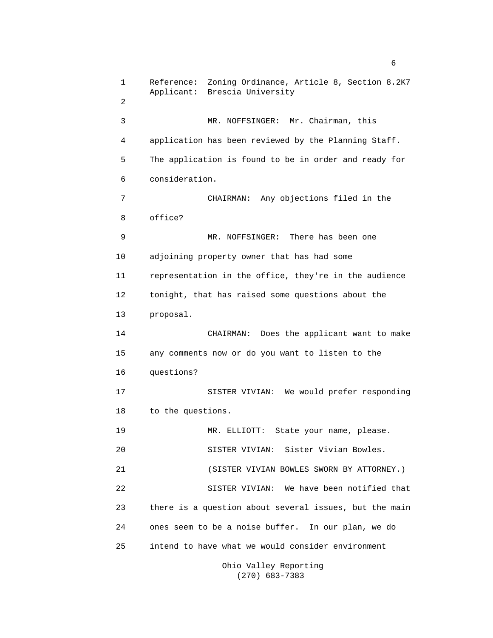1 Reference: Zoning Ordinance, Article 8, Section 8.2K7 Applicant: Brescia University **2 2**  3 MR. NOFFSINGER: Mr. Chairman, this 4 application has been reviewed by the Planning Staff. 5 The application is found to be in order and ready for 6 consideration. 7 CHAIRMAN: Any objections filed in the 8 office? 9 MR. NOFFSINGER: There has been one 10 adjoining property owner that has had some 11 representation in the office, they're in the audience 12 tonight, that has raised some questions about the 13 proposal. 14 CHAIRMAN: Does the applicant want to make 15 any comments now or do you want to listen to the 16 questions? 17 SISTER VIVIAN: We would prefer responding 18 to the questions. 19 MR. ELLIOTT: State your name, please. 20 SISTER VIVIAN: Sister Vivian Bowles. 21 (SISTER VIVIAN BOWLES SWORN BY ATTORNEY.) 22 SISTER VIVIAN: We have been notified that 23 there is a question about several issues, but the main 24 ones seem to be a noise buffer. In our plan, we do 25 intend to have what we would consider environment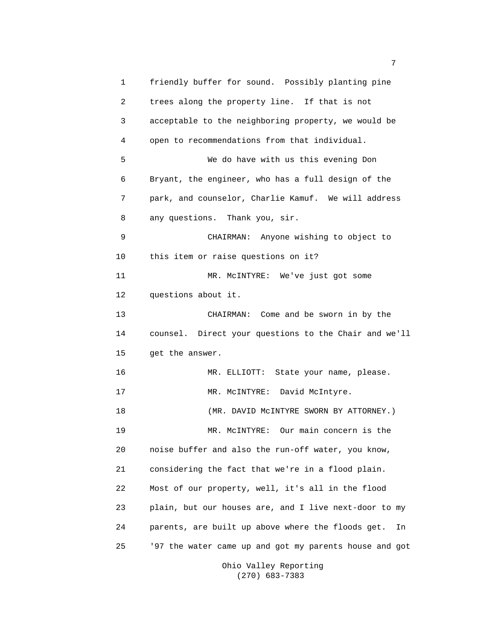1 friendly buffer for sound. Possibly planting pine 2 trees along the property line. If that is not 3 acceptable to the neighboring property, we would be 4 open to recommendations from that individual. 5 We do have with us this evening Don 6 Bryant, the engineer, who has a full design of the 7 park, and counselor, Charlie Kamuf. We will address 8 any questions. Thank you, sir. 9 CHAIRMAN: Anyone wishing to object to 10 this item or raise questions on it? 11 MR. McINTYRE: We've just got some 12 questions about it. 13 CHAIRMAN: Come and be sworn in by the 14 counsel. Direct your questions to the Chair and we'll 15 get the answer. 16 MR. ELLIOTT: State your name, please. 17 MR. McINTYRE: David McIntyre. 18 (MR. DAVID MCINTYRE SWORN BY ATTORNEY.) 19 MR. McINTYRE: Our main concern is the 20 noise buffer and also the run-off water, you know, 21 considering the fact that we're in a flood plain. 22 Most of our property, well, it's all in the flood 23 plain, but our houses are, and I live next-door to my 24 parents, are built up above where the floods get. In 25 '97 the water came up and got my parents house and got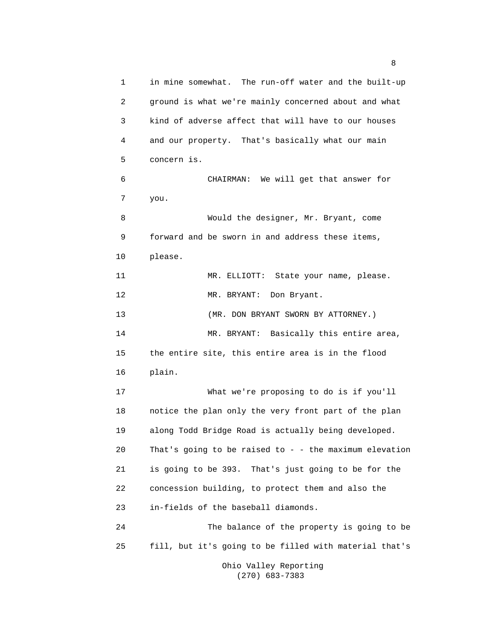1 in mine somewhat. The run-off water and the built-up 2 ground is what we're mainly concerned about and what 3 kind of adverse affect that will have to our houses 4 and our property. That's basically what our main 5 concern is. 6 CHAIRMAN: We will get that answer for 7 you. 8 Would the designer, Mr. Bryant, come 9 forward and be sworn in and address these items, 10 please. 11 MR. ELLIOTT: State your name, please. 12 MR. BRYANT: Don Bryant. 13 (MR. DON BRYANT SWORN BY ATTORNEY.) 14 MR. BRYANT: Basically this entire area, 15 the entire site, this entire area is in the flood 16 plain. 17 What we're proposing to do is if you'll 18 notice the plan only the very front part of the plan 19 along Todd Bridge Road is actually being developed. 20 That's going to be raised to - - the maximum elevation 21 is going to be 393. That's just going to be for the 22 concession building, to protect them and also the 23 in-fields of the baseball diamonds. 24 The balance of the property is going to be 25 fill, but it's going to be filled with material that's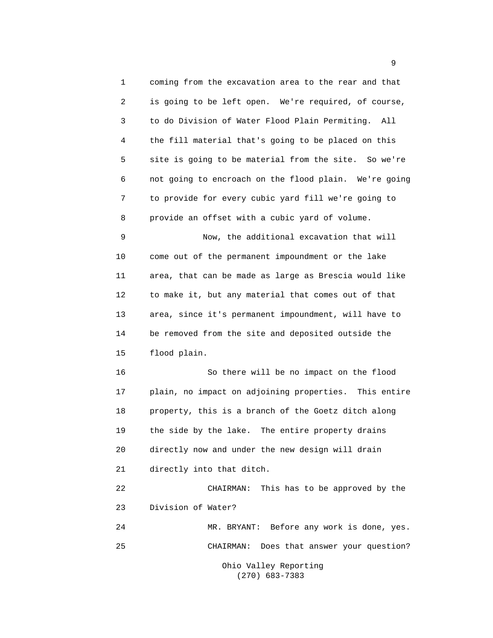1 coming from the excavation area to the rear and that 2 is going to be left open. We're required, of course, 3 to do Division of Water Flood Plain Permiting. All 4 the fill material that's going to be placed on this 5 site is going to be material from the site. So we're 6 not going to encroach on the flood plain. We're going 7 to provide for every cubic yard fill we're going to 8 provide an offset with a cubic yard of volume. 9 Now, the additional excavation that will 10 come out of the permanent impoundment or the lake 11 area, that can be made as large as Brescia would like 12 to make it, but any material that comes out of that 13 area, since it's permanent impoundment, will have to 14 be removed from the site and deposited outside the 15 flood plain. 16 So there will be no impact on the flood 17 plain, no impact on adjoining properties. This entire 18 property, this is a branch of the Goetz ditch along 19 the side by the lake. The entire property drains 20 directly now and under the new design will drain 21 directly into that ditch. 22 CHAIRMAN: This has to be approved by the 23 Division of Water? 24 MR. BRYANT: Before any work is done, yes. 25 CHAIRMAN: Does that answer your question? Ohio Valley Reporting

(270) 683-7383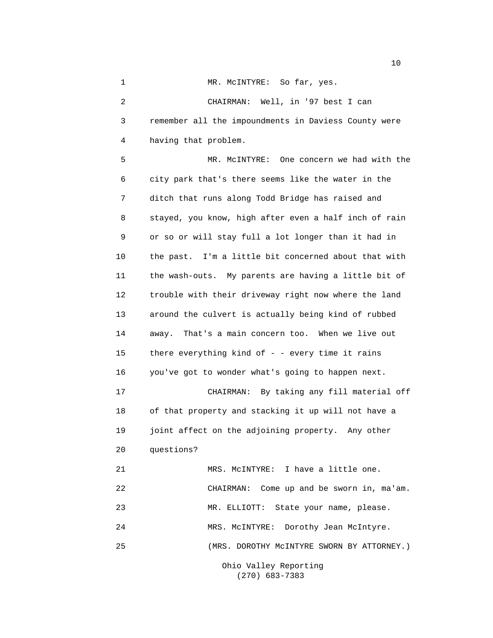1 MR. McINTYRE: So far, yes. 2 CHAIRMAN: Well, in '97 best I can 3 remember all the impoundments in Daviess County were 4 having that problem. 5 MR. McINTYRE: One concern we had with the 6 city park that's there seems like the water in the 7 ditch that runs along Todd Bridge has raised and 8 stayed, you know, high after even a half inch of rain 9 or so or will stay full a lot longer than it had in 10 the past. I'm a little bit concerned about that with 11 the wash-outs. My parents are having a little bit of 12 trouble with their driveway right now where the land 13 around the culvert is actually being kind of rubbed 14 away. That's a main concern too. When we live out 15 there everything kind of - - every time it rains 16 you've got to wonder what's going to happen next. 17 CHAIRMAN: By taking any fill material off 18 of that property and stacking it up will not have a 19 joint affect on the adjoining property. Any other 20 questions? 21 MRS. McINTYRE: I have a little one. 22 CHAIRMAN: Come up and be sworn in, ma'am. 23 MR. ELLIOTT: State your name, please. 24 MRS. McINTYRE: Dorothy Jean McIntyre. 25 (MRS. DOROTHY McINTYRE SWORN BY ATTORNEY.)

 Ohio Valley Reporting (270) 683-7383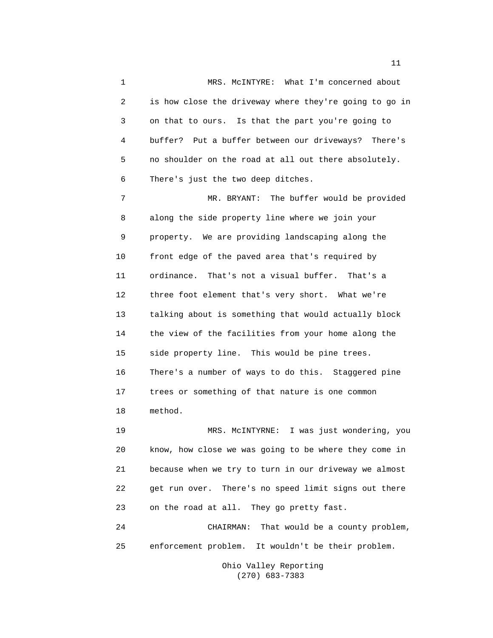1 MRS. McINTYRE: What I'm concerned about 2 is how close the driveway where they're going to go in 3 on that to ours. Is that the part you're going to 4 buffer? Put a buffer between our driveways? There's 5 no shoulder on the road at all out there absolutely. 6 There's just the two deep ditches.

 7 MR. BRYANT: The buffer would be provided 8 along the side property line where we join your 9 property. We are providing landscaping along the 10 front edge of the paved area that's required by 11 ordinance. That's not a visual buffer. That's a 12 three foot element that's very short. What we're 13 talking about is something that would actually block 14 the view of the facilities from your home along the 15 side property line. This would be pine trees. 16 There's a number of ways to do this. Staggered pine 17 trees or something of that nature is one common 18 method.

 19 MRS. McINTYRNE: I was just wondering, you 20 know, how close we was going to be where they come in 21 because when we try to turn in our driveway we almost 22 get run over. There's no speed limit signs out there 23 on the road at all. They go pretty fast.

 24 CHAIRMAN: That would be a county problem, 25 enforcement problem. It wouldn't be their problem.

> Ohio Valley Reporting (270) 683-7383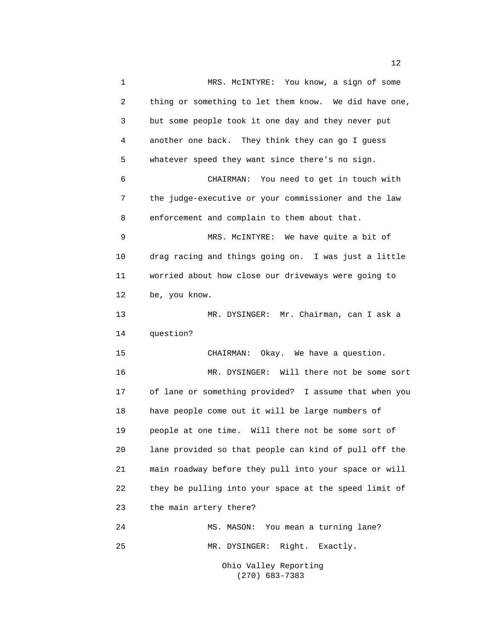1 MRS. McINTYRE: You know, a sign of some 2 thing or something to let them know. We did have one, 3 but some people took it one day and they never put 4 another one back. They think they can go I guess 5 whatever speed they want since there's no sign. 6 CHAIRMAN: You need to get in touch with 7 the judge-executive or your commissioner and the law 8 enforcement and complain to them about that. 9 MRS. McINTYRE: We have quite a bit of 10 drag racing and things going on. I was just a little 11 worried about how close our driveways were going to 12 be, you know. 13 MR. DYSINGER: Mr. Chairman, can I ask a 14 question? 15 CHAIRMAN: Okay. We have a question. 16 MR. DYSINGER: Will there not be some sort 17 of lane or something provided? I assume that when you 18 have people come out it will be large numbers of 19 people at one time. Will there not be some sort of 20 lane provided so that people can kind of pull off the 21 main roadway before they pull into your space or will 22 they be pulling into your space at the speed limit of 23 the main artery there? 24 MS. MASON: You mean a turning lane? 25 MR. DYSINGER: Right. Exactly.

 Ohio Valley Reporting (270) 683-7383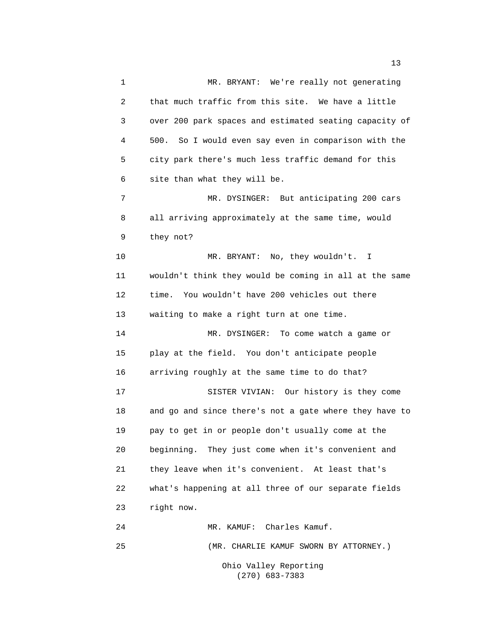1 MR. BRYANT: We're really not generating 2 that much traffic from this site. We have a little 3 over 200 park spaces and estimated seating capacity of 4 500. So I would even say even in comparison with the 5 city park there's much less traffic demand for this 6 site than what they will be. 7 MR. DYSINGER: But anticipating 200 cars 8 all arriving approximately at the same time, would 9 they not? 10 MR. BRYANT: No, they wouldn't. I 11 wouldn't think they would be coming in all at the same 12 time. You wouldn't have 200 vehicles out there 13 waiting to make a right turn at one time. 14 MR. DYSINGER: To come watch a game or 15 play at the field. You don't anticipate people 16 arriving roughly at the same time to do that? 17 SISTER VIVIAN: Our history is they come 18 and go and since there's not a gate where they have to 19 pay to get in or people don't usually come at the 20 beginning. They just come when it's convenient and 21 they leave when it's convenient. At least that's 22 what's happening at all three of our separate fields 23 right now. 24 MR. KAMUF: Charles Kamuf. 25 (MR. CHARLIE KAMUF SWORN BY ATTORNEY.)

> Ohio Valley Reporting (270) 683-7383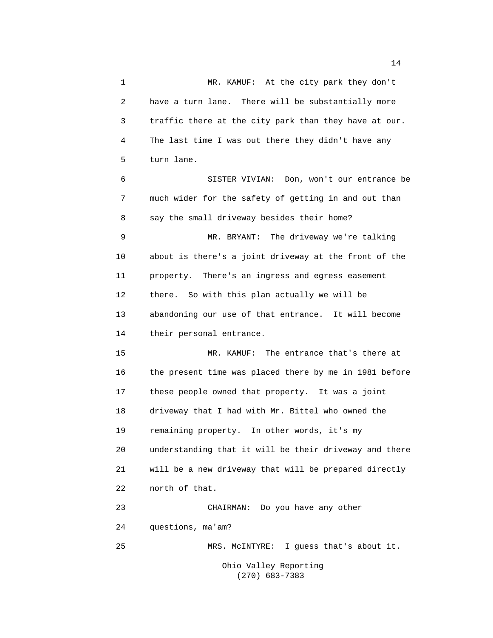1 MR. KAMUF: At the city park they don't 2 have a turn lane. There will be substantially more 3 traffic there at the city park than they have at our. 4 The last time I was out there they didn't have any 5 turn lane. 6 SISTER VIVIAN: Don, won't our entrance be 7 much wider for the safety of getting in and out than 8 say the small driveway besides their home? 9 MR. BRYANT: The driveway we're talking 10 about is there's a joint driveway at the front of the 11 property. There's an ingress and egress easement 12 there. So with this plan actually we will be 13 abandoning our use of that entrance. It will become 14 their personal entrance. 15 MR. KAMUF: The entrance that's there at 16 the present time was placed there by me in 1981 before 17 these people owned that property. It was a joint 18 driveway that I had with Mr. Bittel who owned the 19 remaining property. In other words, it's my 20 understanding that it will be their driveway and there 21 will be a new driveway that will be prepared directly 22 north of that. 23 CHAIRMAN: Do you have any other 24 questions, ma'am? 25 MRS. McINTYRE: I guess that's about it. Ohio Valley Reporting

(270) 683-7383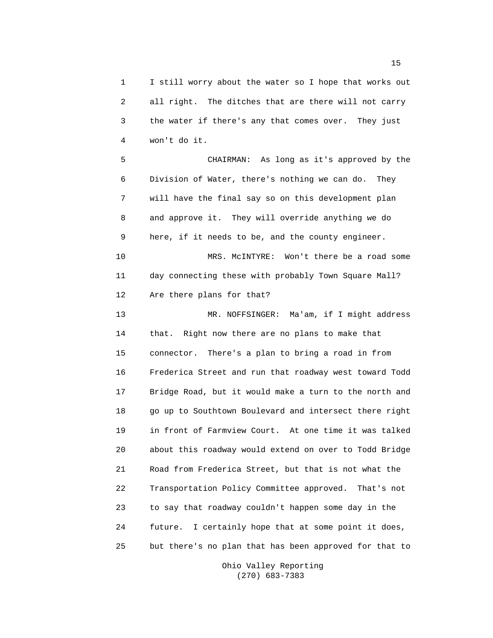1 I still worry about the water so I hope that works out 2 all right. The ditches that are there will not carry 3 the water if there's any that comes over. They just 4 won't do it.

 5 CHAIRMAN: As long as it's approved by the 6 Division of Water, there's nothing we can do. They 7 will have the final say so on this development plan 8 and approve it. They will override anything we do 9 here, if it needs to be, and the county engineer. 10 MRS. McINTYRE: Won't there be a road some 11 day connecting these with probably Town Square Mall? 12 Are there plans for that?

 13 MR. NOFFSINGER: Ma'am, if I might address 14 that. Right now there are no plans to make that 15 connector. There's a plan to bring a road in from 16 Frederica Street and run that roadway west toward Todd 17 Bridge Road, but it would make a turn to the north and 18 go up to Southtown Boulevard and intersect there right 19 in front of Farmview Court. At one time it was talked 20 about this roadway would extend on over to Todd Bridge 21 Road from Frederica Street, but that is not what the 22 Transportation Policy Committee approved. That's not 23 to say that roadway couldn't happen some day in the 24 future. I certainly hope that at some point it does, 25 but there's no plan that has been approved for that to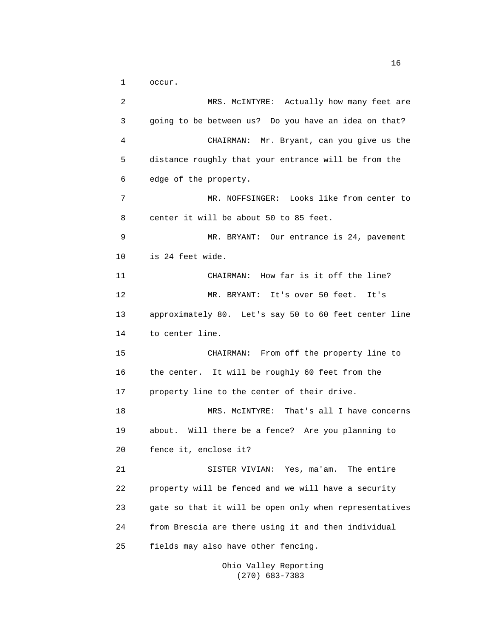1 occur.

 2 MRS. McINTYRE: Actually how many feet are 3 going to be between us? Do you have an idea on that? 4 CHAIRMAN: Mr. Bryant, can you give us the 5 distance roughly that your entrance will be from the 6 edge of the property. 7 MR. NOFFSINGER: Looks like from center to 8 center it will be about 50 to 85 feet. 9 MR. BRYANT: Our entrance is 24, pavement 10 is 24 feet wide. 11 CHAIRMAN: How far is it off the line? 12 MR. BRYANT: It's over 50 feet. It's 13 approximately 80. Let's say 50 to 60 feet center line 14 to center line. 15 CHAIRMAN: From off the property line to 16 the center. It will be roughly 60 feet from the 17 property line to the center of their drive. 18 MRS. McINTYRE: That's all I have concerns 19 about. Will there be a fence? Are you planning to 20 fence it, enclose it? 21 SISTER VIVIAN: Yes, ma'am. The entire 22 property will be fenced and we will have a security 23 gate so that it will be open only when representatives 24 from Brescia are there using it and then individual 25 fields may also have other fencing.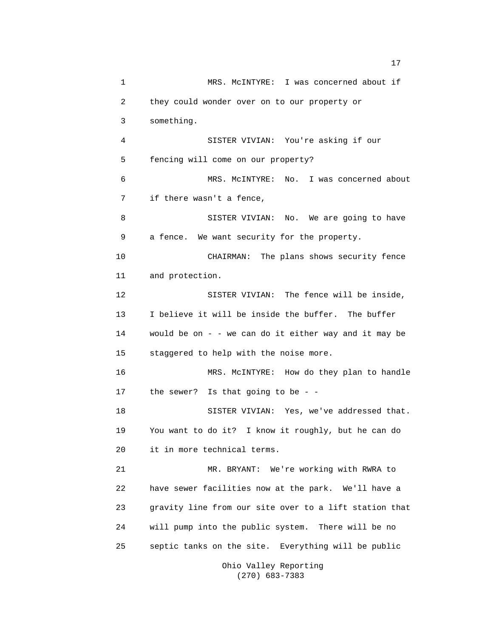1 MRS. McINTYRE: I was concerned about if 2 they could wonder over on to our property or 3 something. 4 SISTER VIVIAN: You're asking if our 5 fencing will come on our property? 6 MRS. McINTYRE: No. I was concerned about 7 if there wasn't a fence, 8 SISTER VIVIAN: No. We are going to have 9 a fence. We want security for the property. 10 CHAIRMAN: The plans shows security fence 11 and protection. 12 SISTER VIVIAN: The fence will be inside, 13 I believe it will be inside the buffer. The buffer 14 would be on - - we can do it either way and it may be 15 staggered to help with the noise more. 16 MRS. McINTYRE: How do they plan to handle 17 the sewer? Is that going to be - - 18 SISTER VIVIAN: Yes, we've addressed that. 19 You want to do it? I know it roughly, but he can do 20 it in more technical terms. 21 MR. BRYANT: We're working with RWRA to 22 have sewer facilities now at the park. We'll have a 23 gravity line from our site over to a lift station that 24 will pump into the public system. There will be no 25 septic tanks on the site. Everything will be public Ohio Valley Reporting

(270) 683-7383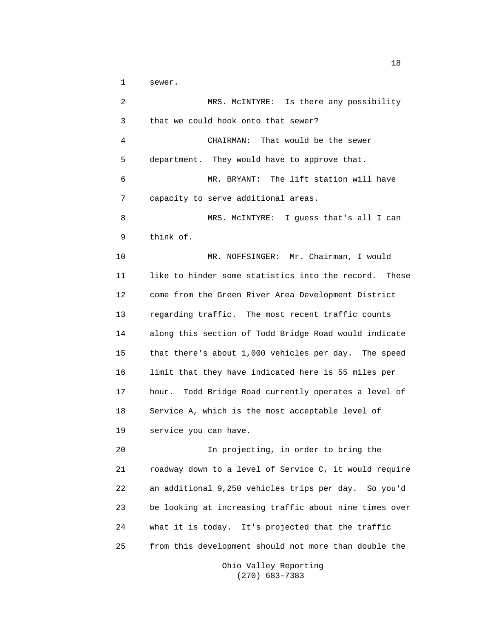1 sewer.

 2 MRS. McINTYRE: Is there any possibility 3 that we could hook onto that sewer? 4 CHAIRMAN: That would be the sewer 5 department. They would have to approve that. 6 MR. BRYANT: The lift station will have 7 capacity to serve additional areas. 8 MRS. McINTYRE: I guess that's all I can 9 think of. 10 MR. NOFFSINGER: Mr. Chairman, I would 11 like to hinder some statistics into the record. These 12 come from the Green River Area Development District 13 regarding traffic. The most recent traffic counts 14 along this section of Todd Bridge Road would indicate 15 that there's about 1,000 vehicles per day. The speed 16 limit that they have indicated here is 55 miles per 17 hour. Todd Bridge Road currently operates a level of 18 Service A, which is the most acceptable level of 19 service you can have. 20 In projecting, in order to bring the 21 roadway down to a level of Service C, it would require 22 an additional 9,250 vehicles trips per day. So you'd 23 be looking at increasing traffic about nine times over 24 what it is today. It's projected that the traffic 25 from this development should not more than double the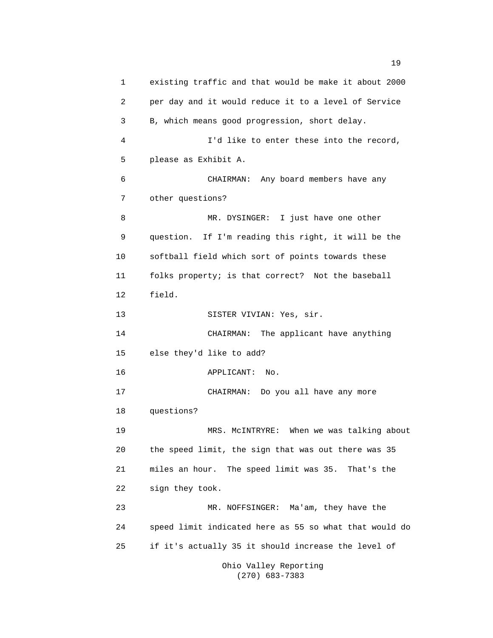1 existing traffic and that would be make it about 2000 2 per day and it would reduce it to a level of Service 3 B, which means good progression, short delay. 4 I'd like to enter these into the record, 5 please as Exhibit A. 6 CHAIRMAN: Any board members have any 7 other questions? 8 MR. DYSINGER: I just have one other 9 question. If I'm reading this right, it will be the 10 softball field which sort of points towards these 11 folks property; is that correct? Not the baseball 12 field. 13 SISTER VIVIAN: Yes, sir. 14 CHAIRMAN: The applicant have anything 15 else they'd like to add? 16 APPLICANT: No. 17 CHAIRMAN: Do you all have any more 18 questions? 19 MRS. McINTRYRE: When we was talking about 20 the speed limit, the sign that was out there was 35 21 miles an hour. The speed limit was 35. That's the 22 sign they took. 23 MR. NOFFSINGER: Ma'am, they have the 24 speed limit indicated here as 55 so what that would do 25 if it's actually 35 it should increase the level of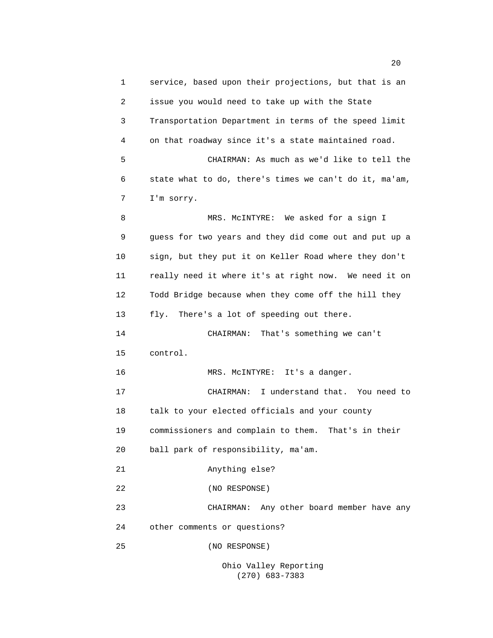1 service, based upon their projections, but that is an 2 issue you would need to take up with the State 3 Transportation Department in terms of the speed limit 4 on that roadway since it's a state maintained road. 5 CHAIRMAN: As much as we'd like to tell the 6 state what to do, there's times we can't do it, ma'am, 7 I'm sorry. 8 MRS. McINTYRE: We asked for a sign I 9 guess for two years and they did come out and put up a 10 sign, but they put it on Keller Road where they don't 11 really need it where it's at right now. We need it on 12 Todd Bridge because when they come off the hill they 13 fly. There's a lot of speeding out there. 14 CHAIRMAN: That's something we can't 15 control. 16 MRS. McINTYRE: It's a danger. 17 CHAIRMAN: I understand that. You need to 18 talk to your elected officials and your county 19 commissioners and complain to them. That's in their 20 ball park of responsibility, ma'am. 21 Anything else? 22 (NO RESPONSE) 23 CHAIRMAN: Any other board member have any 24 other comments or questions? 25 (NO RESPONSE)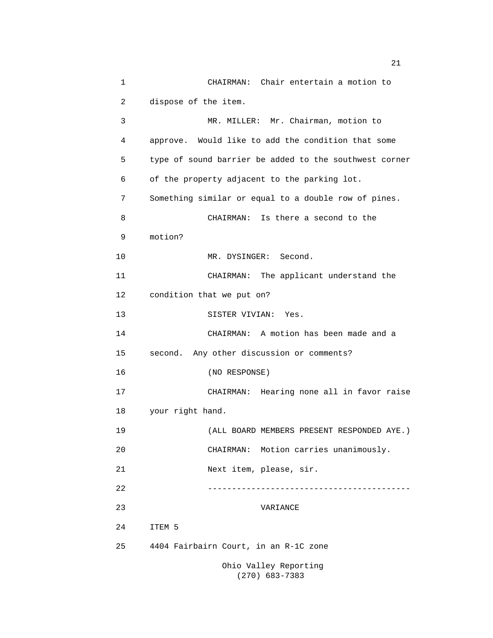1 CHAIRMAN: Chair entertain a motion to 2 dispose of the item. 3 MR. MILLER: Mr. Chairman, motion to 4 approve. Would like to add the condition that some 5 type of sound barrier be added to the southwest corner 6 of the property adjacent to the parking lot. 7 Something similar or equal to a double row of pines. 8 CHAIRMAN: Is there a second to the 9 motion? 10 MR. DYSINGER: Second. 11 CHAIRMAN: The applicant understand the 12 condition that we put on? 13 SISTER VIVIAN: Yes. 14 CHAIRMAN: A motion has been made and a 15 second. Any other discussion or comments? 16 (NO RESPONSE) 17 CHAIRMAN: Hearing none all in favor raise 18 your right hand. 19 (ALL BOARD MEMBERS PRESENT RESPONDED AYE.) 20 CHAIRMAN: Motion carries unanimously. 21 Next item, please, sir. 22 ------------------------------------------ 23 VARIANCE 24 ITEM 5 25 4404 Fairbairn Court, in an R-1C zone Ohio Valley Reporting

(270) 683-7383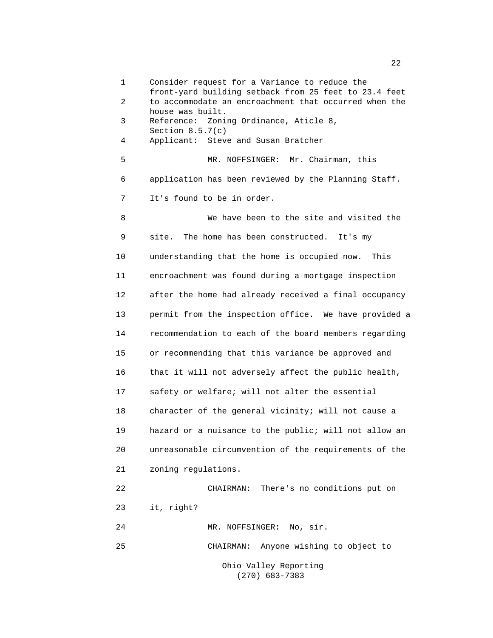1 Consider request for a Variance to reduce the front-yard building setback from 25 feet to 23.4 feet 2 to accommodate an encroachment that occurred when the house was built. 3 Reference: Zoning Ordinance, Aticle 8, Section 8.5.7(c) 4 Applicant: Steve and Susan Bratcher 5 MR. NOFFSINGER: Mr. Chairman, this 6 application has been reviewed by the Planning Staff. 7 It's found to be in order. 8 We have been to the site and visited the 9 site. The home has been constructed. It's my 10 understanding that the home is occupied now. This 11 encroachment was found during a mortgage inspection 12 after the home had already received a final occupancy 13 permit from the inspection office. We have provided a 14 recommendation to each of the board members regarding 15 or recommending that this variance be approved and 16 that it will not adversely affect the public health, 17 safety or welfare; will not alter the essential 18 character of the general vicinity; will not cause a 19 hazard or a nuisance to the public; will not allow an 20 unreasonable circumvention of the requirements of the 21 zoning regulations. 22 CHAIRMAN: There's no conditions put on 23 it, right? 24 MR. NOFFSINGER: No, sir. 25 CHAIRMAN: Anyone wishing to object to Ohio Valley Reporting

(270) 683-7383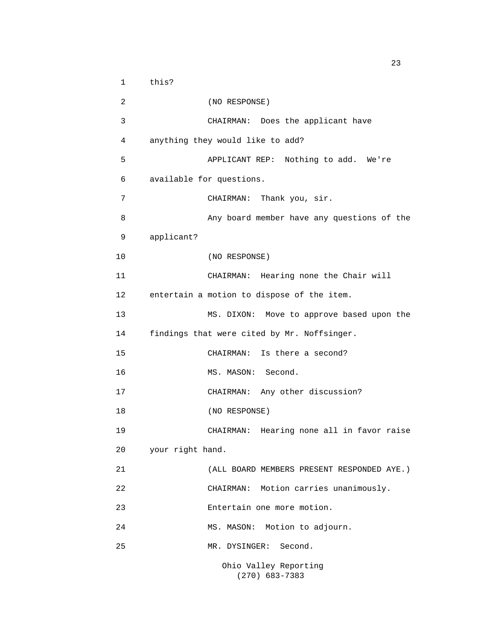1 this? 2 (NO RESPONSE) 3 CHAIRMAN: Does the applicant have 4 anything they would like to add? 5 APPLICANT REP: Nothing to add. We're 6 available for questions. 7 CHAIRMAN: Thank you, sir. 8 Any board member have any questions of the 9 applicant? 10 (NO RESPONSE) 11 CHAIRMAN: Hearing none the Chair will 12 entertain a motion to dispose of the item. 13 MS. DIXON: Move to approve based upon the 14 findings that were cited by Mr. Noffsinger. 15 CHAIRMAN: Is there a second? 16 MS. MASON: Second. 17 CHAIRMAN: Any other discussion? 18 (NO RESPONSE) 19 CHAIRMAN: Hearing none all in favor raise 20 your right hand. 21 (ALL BOARD MEMBERS PRESENT RESPONDED AYE.) 22 CHAIRMAN: Motion carries unanimously. 23 Entertain one more motion. 24 MS. MASON: Motion to adjourn. 25 MR. DYSINGER: Second. Ohio Valley Reporting

(270) 683-7383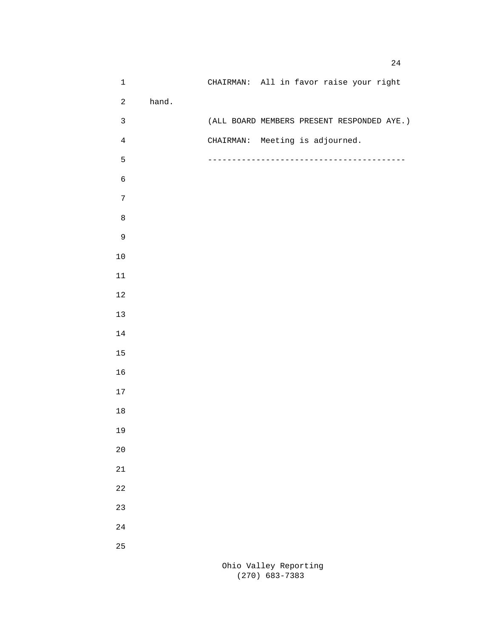| $\mathbf 1$      |       | CHAIRMAN: All in favor raise your right    |  |
|------------------|-------|--------------------------------------------|--|
| $\overline{a}$   | hand. |                                            |  |
| $\mathbf{3}$     |       | (ALL BOARD MEMBERS PRESENT RESPONDED AYE.) |  |
| $\overline{4}$   |       | CHAIRMAN: Meeting is adjourned.            |  |
| 5                |       |                                            |  |
| $\epsilon$       |       |                                            |  |
| $\boldsymbol{7}$ |       |                                            |  |
| $\,8\,$          |       |                                            |  |
| $\mathsf 9$      |       |                                            |  |
| $10$             |       |                                            |  |
| $11\,$           |       |                                            |  |
| $1\,2$           |       |                                            |  |
| $13$             |       |                                            |  |
| $14\,$           |       |                                            |  |
| $15$             |       |                                            |  |
| 16               |       |                                            |  |
| $17\,$           |       |                                            |  |
| $18\,$           |       |                                            |  |
| 19               |       |                                            |  |
| $20$             |       |                                            |  |
| $2\sqrt{1}$      |       |                                            |  |
| $2\sqrt{2}$      |       |                                            |  |
| 23               |       |                                            |  |
|                  |       |                                            |  |